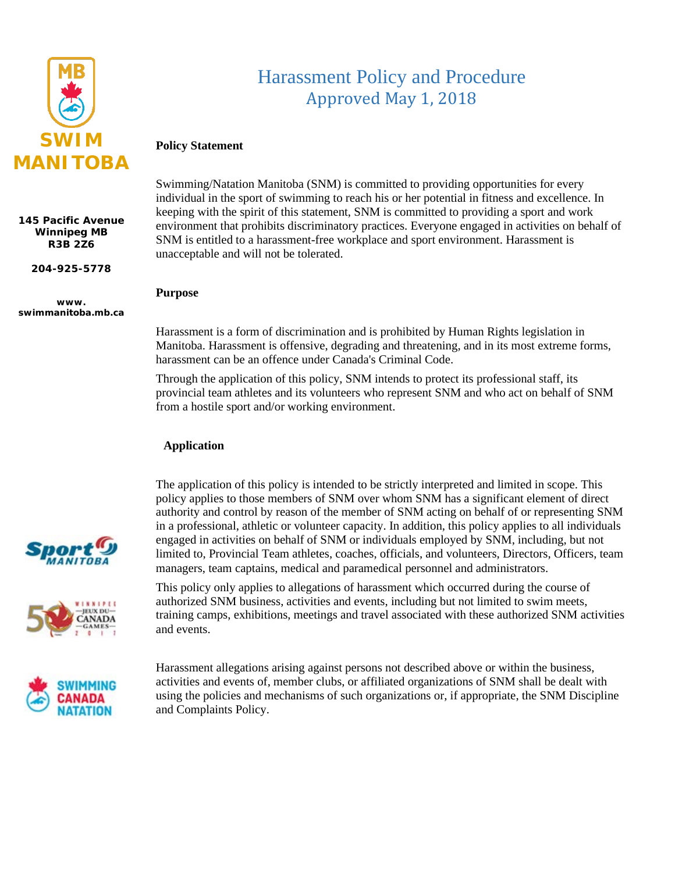

**145 Pacific Avenue Winnipeg MB R3B 2Z6**

**204-925-5778**

**www. swimmanitoba.mb.ca**

# Harassment Policy and Procedure Approved May 1, 2018

### **Policy Statement**

Swimming/Natation Manitoba (SNM) is committed to providing opportunities for every individual in the sport of swimming to reach his or her potential in fitness and excellence. In keeping with the spirit of this statement, SNM is committed to providing a sport and work environment that prohibits discriminatory practices. Everyone engaged in activities on behalf of SNM is entitled to a harassment-free workplace and sport environment. Harassment is unacceptable and will not be tolerated.

#### **Purpose**

Harassment is a form of discrimination and is prohibited by Human Rights legislation in Manitoba. Harassment is offensive, degrading and threatening, and in its most extreme forms, harassment can be an offence under Canada's Criminal Code.

Through the application of this policy, SNM intends to protect its professional staff, its provincial team athletes and its volunteers who represent SNM and who act on behalf of SNM from a hostile sport and/or working environment.

#### **Application**

The application of this policy is intended to be strictly interpreted and limited in scope. This policy applies to those members of SNM over whom SNM has a significant element of direct authority and control by reason of the member of SNM acting on behalf of or representing SNM in a professional, athletic or volunteer capacity. In addition, this policy applies to all individuals engaged in activities on behalf of SNM or individuals employed by SNM, including, but not limited to, Provincial Team athletes, coaches, officials, and volunteers, Directors, Officers, team managers, team captains, medical and paramedical personnel and administrators.

This policy only applies to allegations of harassment which occurred during the course of authorized SNM business, activities and events, including but not limited to swim meets, training camps, exhibitions, meetings and travel associated with these authorized SNM activities and events.

Harassment allegations arising against persons not described above or within the business, activities and events of, member clubs, or affiliated organizations of SNM shall be dealt with using the policies and mechanisms of such organizations or, if appropriate, the SNM Discipline and Complaints Policy.



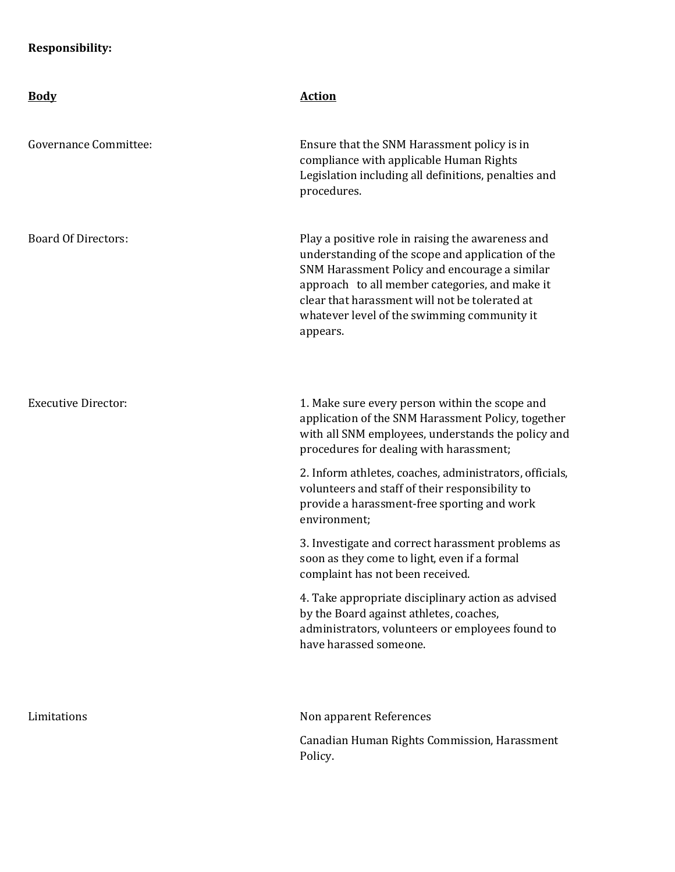## **Responsibility:**

| <b>Body</b>                  | <b>Action</b>                                                                                                                                                                                                                                                                                                          |
|------------------------------|------------------------------------------------------------------------------------------------------------------------------------------------------------------------------------------------------------------------------------------------------------------------------------------------------------------------|
| <b>Governance Committee:</b> | Ensure that the SNM Harassment policy is in<br>compliance with applicable Human Rights<br>Legislation including all definitions, penalties and<br>procedures.                                                                                                                                                          |
| <b>Board Of Directors:</b>   | Play a positive role in raising the awareness and<br>understanding of the scope and application of the<br>SNM Harassment Policy and encourage a similar<br>approach to all member categories, and make it<br>clear that harassment will not be tolerated at<br>whatever level of the swimming community it<br>appears. |
| <b>Executive Director:</b>   | 1. Make sure every person within the scope and<br>application of the SNM Harassment Policy, together<br>with all SNM employees, understands the policy and<br>procedures for dealing with harassment;                                                                                                                  |
|                              | 2. Inform athletes, coaches, administrators, officials,<br>volunteers and staff of their responsibility to<br>provide a harassment-free sporting and work<br>environment;                                                                                                                                              |
|                              | 3. Investigate and correct harassment problems as<br>soon as they come to light, even if a formal<br>complaint has not been received.                                                                                                                                                                                  |
|                              | 4. Take appropriate disciplinary action as advised<br>by the Board against athletes, coaches,<br>administrators, volunteers or employees found to<br>have harassed someone.                                                                                                                                            |
| Limitations                  | Non apparent References                                                                                                                                                                                                                                                                                                |
|                              | Canadian Human Rights Commission, Harassment<br>Policy.                                                                                                                                                                                                                                                                |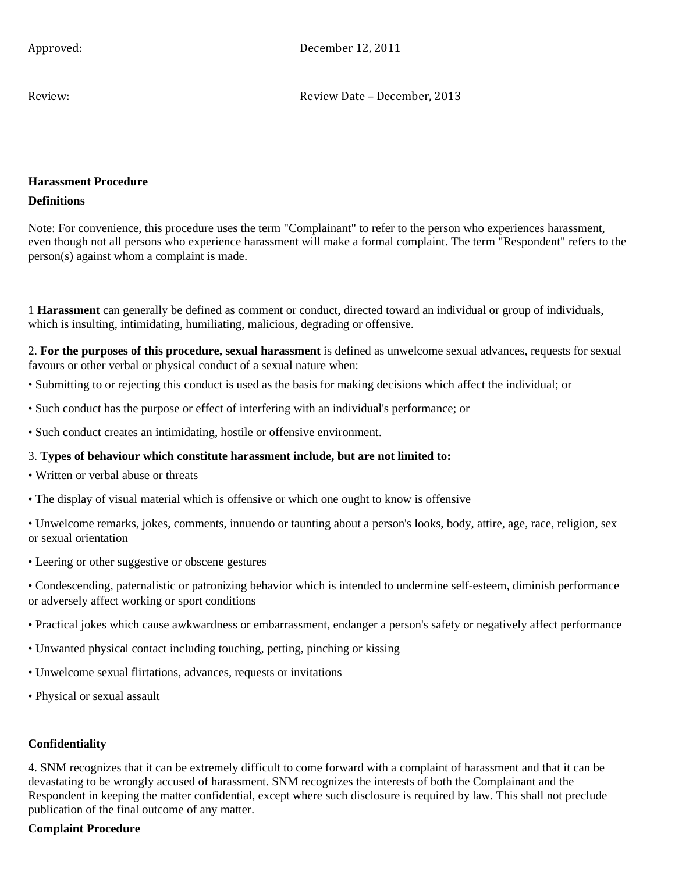Approved: December 12, 2011

Review: Review Date – December, 2013

## **Harassment Procedure Definitions**

Note: For convenience, this procedure uses the term "Complainant" to refer to the person who experiences harassment, even though not all persons who experience harassment will make a formal complaint. The term "Respondent" refers to the person(s) against whom a complaint is made.

1 **Harassment** can generally be defined as comment or conduct, directed toward an individual or group of individuals, which is insulting, intimidating, humiliating, malicious, degrading or offensive.

2. **For the purposes of this procedure, sexual harassment** is defined as unwelcome sexual advances, requests for sexual favours or other verbal or physical conduct of a sexual nature when:

- Submitting to or rejecting this conduct is used as the basis for making decisions which affect the individual; or
- Such conduct has the purpose or effect of interfering with an individual's performance; or
- Such conduct creates an intimidating, hostile or offensive environment.

#### 3. **Types of behaviour which constitute harassment include, but are not limited to:**

- Written or verbal abuse or threats
- The display of visual material which is offensive or which one ought to know is offensive

• Unwelcome remarks, jokes, comments, innuendo or taunting about a person's looks, body, attire, age, race, religion, sex or sexual orientation

- Leering or other suggestive or obscene gestures
- Condescending, paternalistic or patronizing behavior which is intended to undermine self-esteem, diminish performance or adversely affect working or sport conditions
- Practical jokes which cause awkwardness or embarrassment, endanger a person's safety or negatively affect performance
- Unwanted physical contact including touching, petting, pinching or kissing
- Unwelcome sexual flirtations, advances, requests or invitations
- Physical or sexual assault

### **Confidentiality**

4. SNM recognizes that it can be extremely difficult to come forward with a complaint of harassment and that it can be devastating to be wrongly accused of harassment. SNM recognizes the interests of both the Complainant and the Respondent in keeping the matter confidential, except where such disclosure is required by law. This shall not preclude publication of the final outcome of any matter.

#### **Complaint Procedure**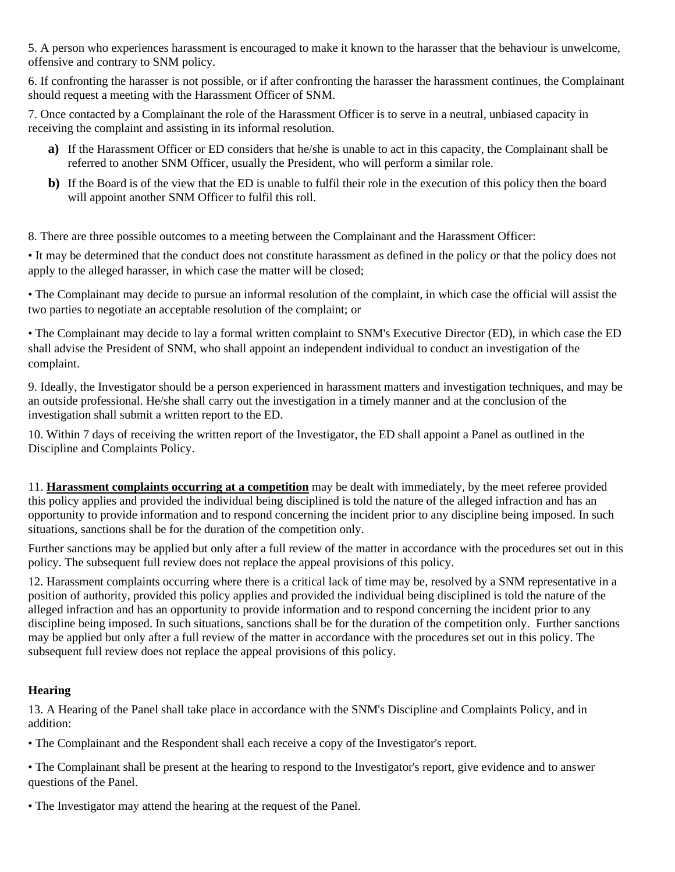5. A person who experiences harassment is encouraged to make it known to the harasser that the behaviour is unwelcome, offensive and contrary to SNM policy.

6. If confronting the harasser is not possible, or if after confronting the harasser the harassment continues, the Complainant should request a meeting with the Harassment Officer of SNM.

7. Once contacted by a Complainant the role of the Harassment Officer is to serve in a neutral, unbiased capacity in receiving the complaint and assisting in its informal resolution.

- **a)** If the Harassment Officer or ED considers that he/she is unable to act in this capacity, the Complainant shall be referred to another SNM Officer, usually the President, who will perform a similar role.
- **b)** If the Board is of the view that the ED is unable to fulfil their role in the execution of this policy then the board will appoint another SNM Officer to fulfil this roll.

8. There are three possible outcomes to a meeting between the Complainant and the Harassment Officer:

• It may be determined that the conduct does not constitute harassment as defined in the policy or that the policy does not apply to the alleged harasser, in which case the matter will be closed;

• The Complainant may decide to pursue an informal resolution of the complaint, in which case the official will assist the two parties to negotiate an acceptable resolution of the complaint; or

• The Complainant may decide to lay a formal written complaint to SNM's Executive Director (ED), in which case the ED shall advise the President of SNM, who shall appoint an independent individual to conduct an investigation of the complaint.

9. Ideally, the Investigator should be a person experienced in harassment matters and investigation techniques, and may be an outside professional. He/she shall carry out the investigation in a timely manner and at the conclusion of the investigation shall submit a written report to the ED.

10. Within 7 days of receiving the written report of the Investigator, the ED shall appoint a Panel as outlined in the Discipline and Complaints Policy.

11. **Harassment complaints occurring at a competition** may be dealt with immediately, by the meet referee provided this policy applies and provided the individual being disciplined is told the nature of the alleged infraction and has an opportunity to provide information and to respond concerning the incident prior to any discipline being imposed. In such situations, sanctions shall be for the duration of the competition only.

Further sanctions may be applied but only after a full review of the matter in accordance with the procedures set out in this policy. The subsequent full review does not replace the appeal provisions of this policy.

12. Harassment complaints occurring where there is a critical lack of time may be, resolved by a SNM representative in a position of authority, provided this policy applies and provided the individual being disciplined is told the nature of the alleged infraction and has an opportunity to provide information and to respond concerning the incident prior to any discipline being imposed. In such situations, sanctions shall be for the duration of the competition only. Further sanctions may be applied but only after a full review of the matter in accordance with the procedures set out in this policy. The subsequent full review does not replace the appeal provisions of this policy.

## **Hearing**

13. A Hearing of the Panel shall take place in accordance with the SNM's Discipline and Complaints Policy, and in addition:

• The Complainant and the Respondent shall each receive a copy of the Investigator's report.

• The Complainant shall be present at the hearing to respond to the Investigator's report, give evidence and to answer questions of the Panel.

• The Investigator may attend the hearing at the request of the Panel.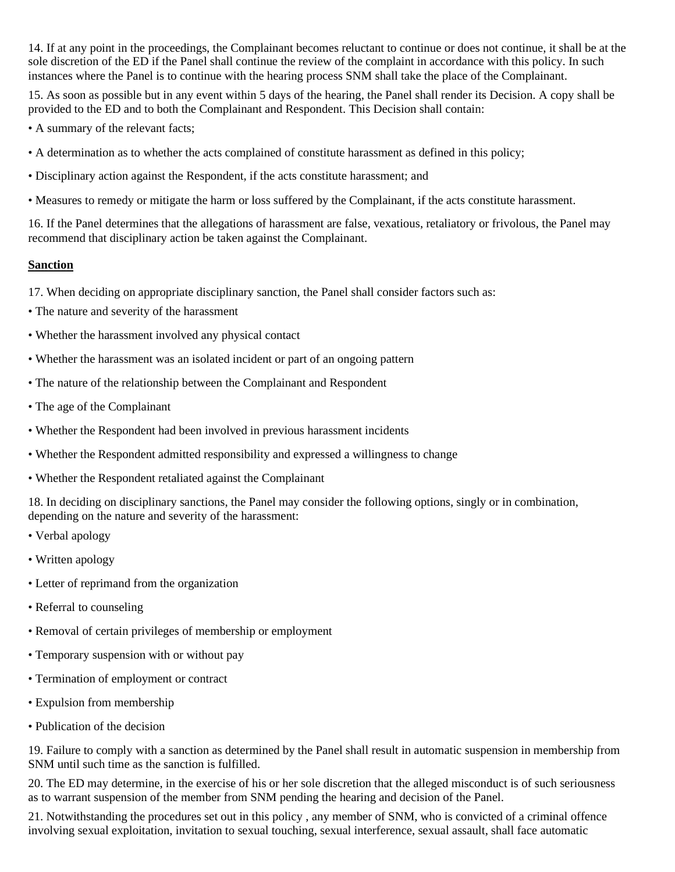14. If at any point in the proceedings, the Complainant becomes reluctant to continue or does not continue, it shall be at the sole discretion of the ED if the Panel shall continue the review of the complaint in accordance with this policy. In such instances where the Panel is to continue with the hearing process SNM shall take the place of the Complainant.

15. As soon as possible but in any event within 5 days of the hearing, the Panel shall render its Decision. A copy shall be provided to the ED and to both the Complainant and Respondent. This Decision shall contain:

- A summary of the relevant facts;
- A determination as to whether the acts complained of constitute harassment as defined in this policy;
- Disciplinary action against the Respondent, if the acts constitute harassment; and
- Measures to remedy or mitigate the harm or loss suffered by the Complainant, if the acts constitute harassment.

16. If the Panel determines that the allegations of harassment are false, vexatious, retaliatory or frivolous, the Panel may recommend that disciplinary action be taken against the Complainant.

#### **Sanction**

17. When deciding on appropriate disciplinary sanction, the Panel shall consider factors such as:

- The nature and severity of the harassment
- Whether the harassment involved any physical contact
- Whether the harassment was an isolated incident or part of an ongoing pattern
- The nature of the relationship between the Complainant and Respondent
- The age of the Complainant
- Whether the Respondent had been involved in previous harassment incidents
- Whether the Respondent admitted responsibility and expressed a willingness to change
- Whether the Respondent retaliated against the Complainant

18. In deciding on disciplinary sanctions, the Panel may consider the following options, singly or in combination, depending on the nature and severity of the harassment:

- Verbal apology
- Written apology
- Letter of reprimand from the organization
- Referral to counseling
- Removal of certain privileges of membership or employment
- Temporary suspension with or without pay
- Termination of employment or contract
- Expulsion from membership
- Publication of the decision

19. Failure to comply with a sanction as determined by the Panel shall result in automatic suspension in membership from SNM until such time as the sanction is fulfilled.

20. The ED may determine, in the exercise of his or her sole discretion that the alleged misconduct is of such seriousness as to warrant suspension of the member from SNM pending the hearing and decision of the Panel.

21. Notwithstanding the procedures set out in this policy , any member of SNM, who is convicted of a criminal offence involving sexual exploitation, invitation to sexual touching, sexual interference, sexual assault, shall face automatic